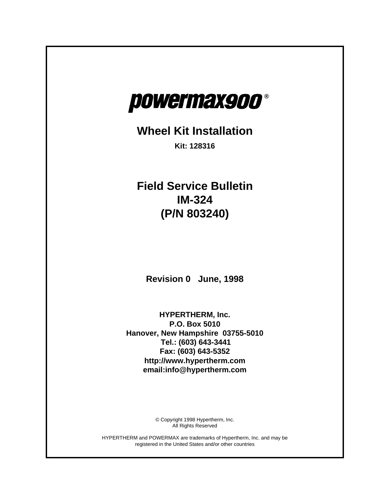

## **Wheel Kit Installation**

**Kit: 128316**

**Field Service Bulletin IM-324 (P/N 803240)**

**Revision 0 June, 1998**

**HYPERTHERM, Inc. P.O. Box 5010 Hanover, New Hampshire 03755-5010 Tel.: (603) 643-3441 Fax: (603) 643-5352 http://www.hypertherm.com email:info@hypertherm.com**

> © Copyright 1998 Hypertherm, Inc. All Rights Reserved

HYPERTHERM and POWERMAX are trademarks of Hypertherm, Inc. and may be registered in the United States and/or other countries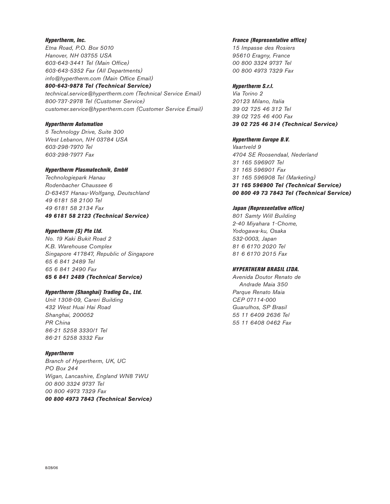#### *Hypertherm, Inc.*

*Etna Road, P.O. Box 5010 Hanover, NH 03755 USA 603-643-3441 Tel (Main Office) 603-643-5352 Fax (All Departments) info@hypertherm.com (Main Office Email) 800-643-9878 Tel (Technical Service)*

*technical.service@hypertherm.com (Technical Service Email) 800-737-2978 Tel (Customer Service) customer.service@hypertherm.com (Customer Service Email)*

#### *Hypertherm Automation*

*5 Technology Drive, Suite 300 West Lebanon, NH 03784 USA 603-298-7970 Tel 603-298-7977 Fax*

#### *Hypertherm Plasmatechnik, GmbH*

*Technologiepark Hanau Rodenbacher Chaussee 6 D-63457 Hanau-Wolfgang, Deutschland 49 6181 58 2100 Tel 49 6181 58 2134 Fax 49 6181 58 2123 (Technical Service)*

#### *Hypertherm (S) Pte Ltd.*

*No. 19 Kaki Bukit Road 2 K.B. Warehouse Complex Singapore 417847, Republic of Singapore 65 6 841 2489 Tel 65 6 841 2490 Fax 65 6 841 2489 (Technical Service)*

#### *Hypertherm (Shanghai) Trading Co., Ltd.*

*Unit 1308-09, Careri Building 432 West Huai Hai Road Shanghai, 200052 PR China 86-21 5258 3330/1 Tel 86-21 5258 3332 Fax*

#### *Hypertherm*

*Branch of Hypertherm, UK, UC PO Box 244 Wigan, Lancashire, England WN8 7WU 00 800 3324 9737 Tel 00 800 4973 7329 Fax 00 800 4973 7843 (Technical Service)*

#### *France (Representative office)*

*15 Impasse des Rosiers 95610 Eragny, France 00 800 3324 9737 Tel 00 800 4973 7329 Fax*

#### *Hypertherm S.r.l.*

*Via Torino 2 20123 Milano, Italia 39 02 725 46 312 Tel 39 02 725 46 400 Fax 39 02 725 46 314 (Technical Service)*

#### *Hypertherm Europe B.V.*

*Vaartveld 9 4704 SE Roosendaal, Nederland 31 165 596907 Tel 31 165 596901 Fax 31 165 596908 Tel (Marketing) 31 165 596900 Tel (Technical Service) 00 800 49 73 7843 Tel (Technical Service)*

#### *Japan (Representative office)*

*801 Samty Will Building 2-40 Miyahara 1-Chome, Yodogawa-ku, Osaka 532-0003, Japan 81 6 6170 2020 Tel 81 6 6170 2015 Fax*

#### *HYPERTHERM BRASIL LTDA.*

*Avenida Doutor Renato de Andrade Maia 350 Parque Renato Maia CEP 07114-000 Guarulhos, SP Brasil 55 11 6409 2636 Tel 55 11 6408 0462 Fax*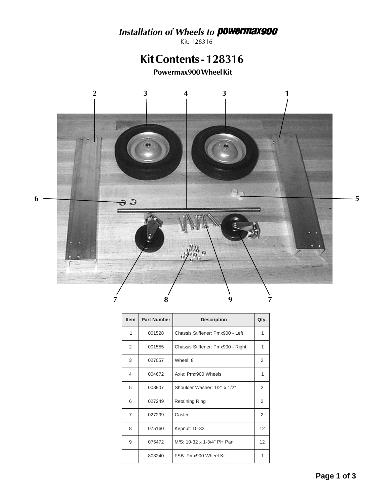# Installation of Wheels to **powermax900**

Kit: 128316

## Kit Contents - 128316

Powermax900 Wheel Kit



| <b>Item</b> | <b>Part Number</b> | <b>Description</b>                | Qty. |
|-------------|--------------------|-----------------------------------|------|
| 1           | 001528             | Chassis Stiffener: Pmx900 - Left  | 1    |
| 2           | 001555             | Chassis Stiffener: Pmx900 - Right | 1    |
| 3           | 027057             | Wheel: 8"                         | 2    |
| 4           | 004672             | Axle: Pmx900 Wheels               | 1    |
| 5           | 008907             | Shoulder Washer: 1/2" x 1/2"      | 2    |
| 6           | 027249             | <b>Retaining Ring</b>             | 2    |
| 7           | 027299             | Caster                            | 2    |
| 8           | 075160             | Kepnut: 10-32                     | 12   |
| 9           | 075472             | M/S: 10-32 x 1-3/4" PH Pan        | 12   |
|             | 803240             | FSB: Pmx900 Wheel Kit             | 1    |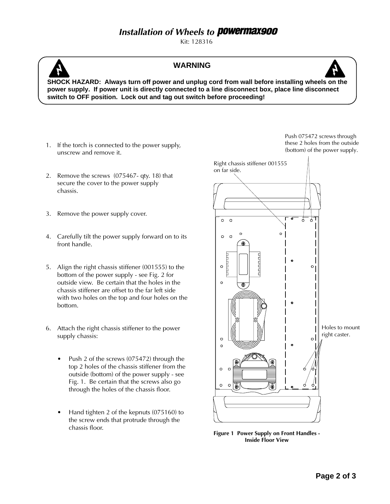### **Installation of Wheels to Powermax900**

Kit: 128316



### **WARNING**



**SHOCK HAZARD: Always turn off power and unplug cord from wall before installing wheels on the power supply. If power unit is directly connected to a line disconnect box, place line disconnect switch to OFF position. Lock out and tag out switch before proceeding!**

- 1. If the torch is connected to the power supply, unscrew and remove it.
- 2. Remove the screws (075467- qty. 18) that secure the cover to the power supply chassis.
- 3. Remove the power supply cover.
- 4. Carefully tilt the power supply forward on to its front handle.
- 5. Align the right chassis stiffener (001555) to the bottom of the power supply - see Fig. 2 for outside view. Be certain that the holes in the chassis stiffener are offset to the far left side with two holes on the top and four holes on the bottom.
- 6. Attach the right chassis stiffener to the power supply chassis:
	- Push 2 of the screws (075472) through the top 2 holes of the chassis stiffener from the outside (bottom) of the power supply - see Fig. 1. Be certain that the screws also go through the holes of the chassis floor.
	- Hand tighten 2 of the kepnuts (075160) to the screw ends that protrude through the chassis floor.

Push 075472 screws through these 2 holes from the outside (bottom) of the power supply.



**Figure 1 Power Supply on Front Handles - Inside Floor View**